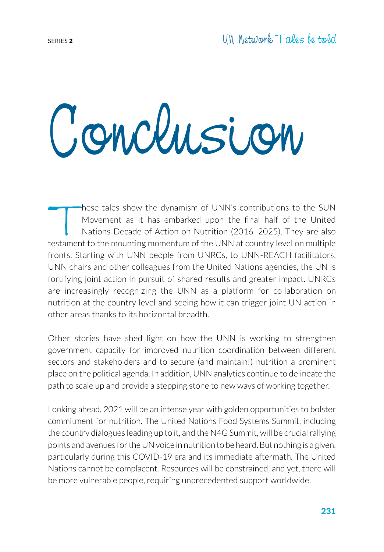## Conclusion

These tales show the dynamism of UNN's contributions to the SUN<br>Movement as it has embarked upon the final half of the United<br>Nations Decade of Action on Nutrition (2016–2025). They are also<br>restament to the mounting momen Movement as it has embarked upon the final half of the United Nations Decade of Action on Nutrition (2016–2025). They are also testament to the mounting momentum of the UNN at country level on multiple fronts. Starting with UNN people from UNRCs, to UNN-REACH facilitators, UNN chairs and other colleagues from the United Nations agencies, the UN is fortifying joint action in pursuit of shared results and greater impact. UNRCs are increasingly recognizing the UNN as a platform for collaboration on nutrition at the country level and seeing how it can trigger joint UN action in other areas thanks to its horizontal breadth.

Other stories have shed light on how the UNN is working to strengthen government capacity for improved nutrition coordination between different sectors and stakeholders and to secure (and maintain!) nutrition a prominent place on the political agenda. In addition, UNN analytics continue to delineate the path to scale up and provide a stepping stone to new ways of working together.

Looking ahead, 2021 will be an intense year with golden opportunities to bolster commitment for nutrition. The United Nations Food Systems Summit, including the country dialogues leading up to it, and the N4G Summit, will be crucial rallying points and avenues for the UN voice in nutrition to be heard. But nothing is a given, particularly during this COVID-19 era and its immediate aftermath. The United Nations cannot be complacent. Resources will be constrained, and yet, there will be more vulnerable people, requiring unprecedented support worldwide.